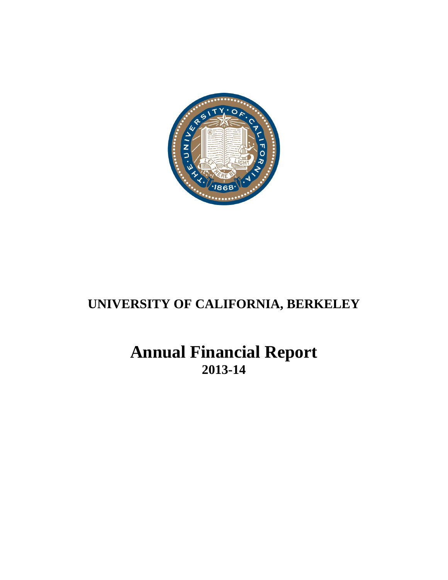

# **Annual Financial Report 2013-14**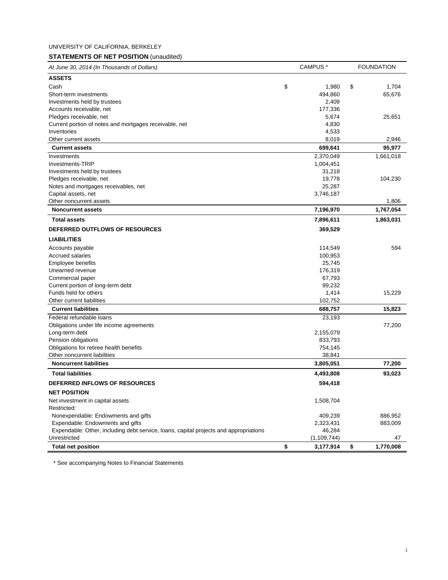# **STATEMENTS OF NET POSITION** (unaudited)

| At June 30, 2014 (In Thousands of Dollars)                                            |    | CAMPUS <sup>*</sup> |    | <b>FOUNDATION</b> |  |
|---------------------------------------------------------------------------------------|----|---------------------|----|-------------------|--|
| <b>ASSETS</b>                                                                         |    |                     |    |                   |  |
| Cash                                                                                  | \$ | 1,980               | \$ | 1,704             |  |
| Short-term investments                                                                |    | 494,860             |    | 65,676            |  |
| Investments held by trustees                                                          |    | 2,409               |    |                   |  |
| Accounts receivable, net                                                              |    | 177,336             |    |                   |  |
| Pledges receivable, net                                                               |    | 5,674               |    | 25,651            |  |
| Current portion of notes and mortgages receivable, net                                |    | 4,830               |    |                   |  |
| Inventories                                                                           |    | 4,533               |    |                   |  |
| Other current assets                                                                  |    | 8,019               |    | 2,946             |  |
| <b>Current assets</b>                                                                 |    | 699,641             |    | 95,977            |  |
| Investments                                                                           |    | 2,370,049           |    | 1,661,018         |  |
| Investments-TRIP                                                                      |    | 1,004,451           |    |                   |  |
| Investments held by trustees                                                          |    | 31,218              |    |                   |  |
| Pledges receivable, net                                                               |    | 19,778              |    | 104,230           |  |
| Notes and mortgages receivables, net                                                  |    | 25,287              |    |                   |  |
| Capital assets, net                                                                   |    | 3,746,187           |    |                   |  |
| Other noncurrent assets                                                               |    |                     |    | 1,806             |  |
| <b>Noncurrent assets</b>                                                              |    | 7,196,970           |    | 1,767,054         |  |
| <b>Total assets</b>                                                                   |    | 7,896,611           |    | 1,863,031         |  |
| <b>DEFERRED OUTFLOWS OF RESOURCES</b>                                                 |    | 369,529             |    |                   |  |
| <b>LIABILITIES</b>                                                                    |    |                     |    |                   |  |
| Accounts payable                                                                      |    | 114,549             |    | 594               |  |
| <b>Accrued salaries</b>                                                               |    | 100,953             |    |                   |  |
| Employee benefits                                                                     |    | 25,745              |    |                   |  |
| Unearned revenue                                                                      |    | 176,319             |    |                   |  |
| Commercial paper                                                                      |    | 67,793              |    |                   |  |
| Current portion of long-term debt                                                     |    | 99,232              |    |                   |  |
| Funds held for others                                                                 |    | 1,414               |    | 15,229            |  |
| Other current liabilities                                                             |    | 102,752             |    |                   |  |
| <b>Current liabilities</b>                                                            |    | 688,757             |    | 15,823            |  |
| Federal refundable loans                                                              |    | 23,193              |    |                   |  |
| Obligations under life income agreements                                              |    |                     |    | 77,200            |  |
| Long-term debt                                                                        |    | 2,155,079           |    |                   |  |
| Pension obligations                                                                   |    | 833,793             |    |                   |  |
| Obligations for retiree health benefits                                               |    | 754,145             |    |                   |  |
| Other noncurrent liabilities                                                          |    | 38,841              |    |                   |  |
| <b>Noncurrent liabilities</b>                                                         |    | 3,805,051           |    | 77,200            |  |
| <b>Total liabilities</b>                                                              |    | 4,493,808           |    | 93,023            |  |
| DEFERRED INFLOWS OF RESOURCES                                                         |    | 594,418             |    |                   |  |
| <b>NET POSITION</b>                                                                   |    |                     |    |                   |  |
| Net investment in capital assets                                                      |    | 1,508,704           |    |                   |  |
| Restricted:                                                                           |    |                     |    |                   |  |
| Nonexpendable: Endowments and gifts                                                   |    | 409,239             |    | 886,952           |  |
| Expendable: Endowments and gifts                                                      |    | 2,323,431           |    | 883,009           |  |
| Expendable: Other, including debt service, loans, capital projects and appropriations |    | 46,284              |    |                   |  |
| Unrestricted                                                                          |    | (1, 109, 744)       |    | 47                |  |
| <b>Total net position</b>                                                             | \$ | 3,177,914           | \$ | 1,770,008         |  |

\* See accompanying Notes to Financial Statements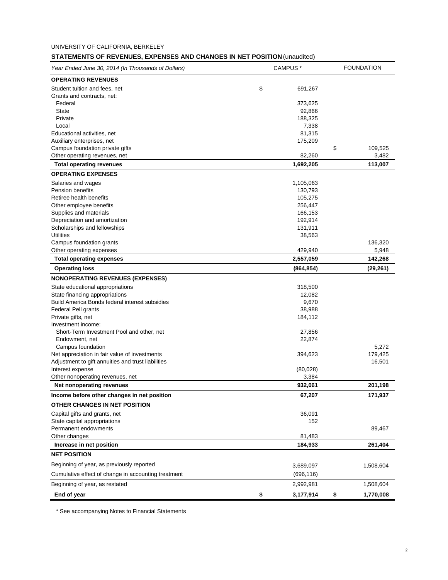# **STATEMENTS OF REVENUES, EXPENSES AND CHANGES IN NET POSITION** (unaudited)

| Year Ended June 30, 2014 (In Thousands of Dollars)                 | CAMPUS <sup>*</sup> |                    | <b>FOUNDATION</b> |           |
|--------------------------------------------------------------------|---------------------|--------------------|-------------------|-----------|
| <b>OPERATING REVENUES</b>                                          |                     |                    |                   |           |
| Student tuition and fees, net                                      | \$                  | 691,267            |                   |           |
| Grants and contracts, net:                                         |                     |                    |                   |           |
| Federal                                                            |                     | 373,625            |                   |           |
| <b>State</b>                                                       |                     | 92,866             |                   |           |
| Private                                                            |                     | 188,325            |                   |           |
| Local                                                              |                     | 7,338              |                   |           |
| Educational activities, net                                        |                     | 81,315             |                   |           |
| Auxiliary enterprises, net                                         |                     | 175,209            |                   |           |
| Campus foundation private gifts                                    |                     |                    | \$                | 109,525   |
| Other operating revenues, net                                      |                     | 82,260             |                   | 3,482     |
| <b>Total operating revenues</b>                                    |                     | 1,692,205          |                   | 113,007   |
| <b>OPERATING EXPENSES</b>                                          |                     |                    |                   |           |
| Salaries and wages                                                 |                     | 1,105,063          |                   |           |
| Pension benefits                                                   |                     | 130,793            |                   |           |
| Retiree health benefits                                            |                     | 105,275            |                   |           |
| Other employee benefits                                            |                     | 256,447            |                   |           |
| Supplies and materials<br>Depreciation and amortization            |                     | 166,153<br>192,914 |                   |           |
| Scholarships and fellowships                                       |                     | 131,911            |                   |           |
| <b>Utilities</b>                                                   |                     | 38,563             |                   |           |
| Campus foundation grants                                           |                     |                    |                   | 136,320   |
| Other operating expenses                                           |                     | 429,940            |                   | 5,948     |
| <b>Total operating expenses</b>                                    |                     | 2,557,059          |                   | 142,268   |
| <b>Operating loss</b>                                              |                     | (864, 854)         |                   | (29, 261) |
| <b>NONOPERATING REVENUES (EXPENSES)</b>                            |                     |                    |                   |           |
|                                                                    |                     |                    |                   |           |
| State educational appropriations<br>State financing appropriations |                     | 318,500<br>12,082  |                   |           |
| Build America Bonds federal interest subsidies                     |                     | 9,670              |                   |           |
| <b>Federal Pell grants</b>                                         |                     | 38,988             |                   |           |
| Private gifts, net                                                 |                     | 184,112            |                   |           |
| Investment income:                                                 |                     |                    |                   |           |
| Short-Term Investment Pool and other, net                          |                     | 27,856             |                   |           |
| Endowment, net                                                     |                     | 22,874             |                   |           |
| Campus foundation                                                  |                     |                    |                   | 5,272     |
| Net appreciation in fair value of investments                      |                     | 394,623            |                   | 179,425   |
| Adjustment to gift annuities and trust liabilities                 |                     |                    |                   | 16,501    |
| Interest expense                                                   |                     | (80,028)           |                   |           |
| Other nonoperating revenues, net                                   |                     | 3,384              |                   |           |
| Net nonoperating revenues                                          |                     | 932,061            |                   | 201,198   |
| Income before other changes in net position                        |                     | 67,207             |                   | 171,937   |
| OTHER CHANGES IN NET POSITION                                      |                     |                    |                   |           |
| Capital gifts and grants, net                                      |                     | 36,091             |                   |           |
| State capital appropriations                                       |                     | 152                |                   |           |
| Permanent endowments                                               |                     |                    |                   | 89,467    |
| Other changes                                                      |                     | 81,483             |                   |           |
| Increase in net position                                           |                     | 184,933            |                   | 261,404   |
| <b>NET POSITION</b>                                                |                     |                    |                   |           |
| Beginning of year, as previously reported                          |                     | 3,689,097          |                   | 1,508,604 |
| Cumulative effect of change in accounting treatment                |                     | (696, 116)         |                   |           |
| Beginning of year, as restated                                     |                     | 2,992,981          |                   | 1,508,604 |
| End of year                                                        | \$                  | 3,177,914          | \$                | 1,770,008 |

\* See accompanying Notes to Financial Statements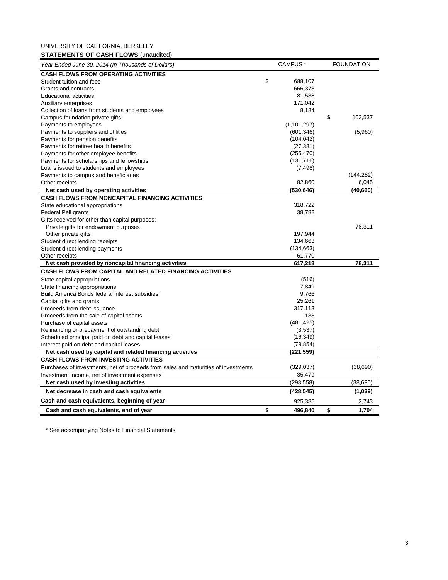UNIVERSITY OF CALIFORNIA, BERKELEY **STATEMENTS OF CASH FLOWS** (unaudited)

| Year Ended June 30, 2014 (In Thousands of Dollars)                                                       | CAMPUS <sup>*</sup> | <b>FOUNDATION</b> |
|----------------------------------------------------------------------------------------------------------|---------------------|-------------------|
| <b>CASH FLOWS FROM OPERATING ACTIVITIES</b>                                                              |                     |                   |
| Student tuition and fees                                                                                 | \$<br>688,107       |                   |
| Grants and contracts                                                                                     | 666,373             |                   |
| <b>Educational activities</b>                                                                            | 81,538              |                   |
| Auxiliary enterprises                                                                                    | 171,042             |                   |
| Collection of loans from students and employees                                                          | 8,184               |                   |
| Campus foundation private gifts                                                                          |                     | \$<br>103,537     |
| Payments to employees                                                                                    | (1, 101, 297)       |                   |
| Payments to suppliers and utilities                                                                      | (601, 346)          | (5,960)           |
| Payments for pension benefits                                                                            | (104, 042)          |                   |
| Payments for retiree health benefits                                                                     | (27, 381)           |                   |
| Payments for other employee benefits                                                                     | (255, 470)          |                   |
| Payments for scholarships and fellowships                                                                | (131,716)           |                   |
| Loans issued to students and employees                                                                   | (7, 498)            |                   |
| Payments to campus and beneficiaries                                                                     |                     | (144, 282)        |
| Other receipts                                                                                           | 82,860              | 6,045             |
| Net cash used by operating activities                                                                    | (530, 646)          | (40,660)          |
| <b>CASH FLOWS FROM NONCAPITAL FINANCING ACTIVITIES</b>                                                   |                     |                   |
| State educational appropriations                                                                         | 318,722             |                   |
| <b>Federal Pell grants</b>                                                                               | 38,782              |                   |
| Gifts received for other than capital purposes:                                                          |                     |                   |
| Private gifts for endowment purposes                                                                     |                     | 78,311            |
| Other private gifts                                                                                      | 197,944             |                   |
| Student direct lending receipts                                                                          | 134,663             |                   |
| Student direct lending payments                                                                          | (134, 663)          |                   |
| Other receipts                                                                                           | 61,770              |                   |
| Net cash provided by noncapital financing activities                                                     | 617,218             | 78,311            |
| <b>CASH FLOWS FROM CAPITAL AND RELATED FINANCING ACTIVITIES</b>                                          |                     |                   |
| State capital appropriations                                                                             | (516)               |                   |
| State financing appropriations                                                                           | 7,849               |                   |
| Build America Bonds federal interest subsidies                                                           | 9,766               |                   |
| Capital gifts and grants                                                                                 | 25,261              |                   |
| Proceeds from debt issuance                                                                              | 317,113             |                   |
| Proceeds from the sale of capital assets                                                                 | 133                 |                   |
| Purchase of capital assets                                                                               | (481, 425)          |                   |
| Refinancing or prepayment of outstanding debt                                                            | (3,537)             |                   |
| Scheduled principal paid on debt and capital leases                                                      | (16, 349)           |                   |
| Interest paid on debt and capital leases                                                                 | (79, 854)           |                   |
| Net cash used by capital and related financing activities<br><b>CASH FLOWS FROM INVESTING ACTIVITIES</b> | (221,559)           |                   |
| Purchases of investments, net of proceeds from sales and maturities of investments                       | (329, 037)          |                   |
|                                                                                                          | 35,479              | (38,690)          |
| Investment income, net of investment expenses<br>Net cash used by investing activities                   | (293, 558)          | (38, 690)         |
| Net decrease in cash and cash equivalents                                                                | (428, 545)          | (1,039)           |
|                                                                                                          |                     |                   |
| Cash and cash equivalents, beginning of year                                                             | 925,385             | 2,743             |
| Cash and cash equivalents, end of year                                                                   | \$<br>496,840       | \$<br>1,704       |

\* See accompanying Notes to Financial Statements

÷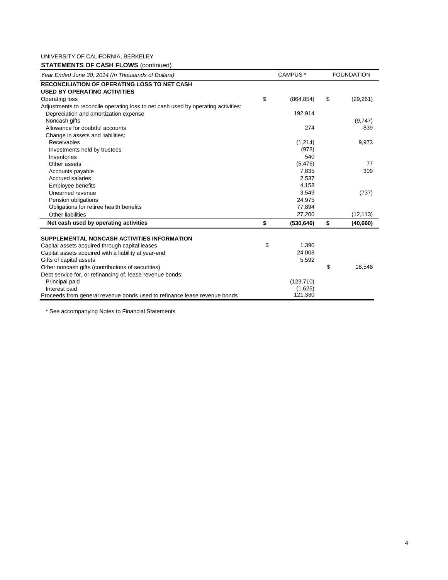# **STATEMENTS OF CASH FLOWS** (continued)

| Year Ended June 30, 2014 (In Thousands of Dollars)                                |    | CAMPUS <sup>*</sup> | <b>FOUNDATION</b> |           |  |
|-----------------------------------------------------------------------------------|----|---------------------|-------------------|-----------|--|
| <b>RECONCILIATION OF OPERATING LOSS TO NET CASH</b>                               |    |                     |                   |           |  |
| <b>USED BY OPERATING ACTIVITIES</b>                                               |    |                     |                   |           |  |
| Operating loss                                                                    | \$ | (864, 854)          | \$                | (29, 261) |  |
| Adjustments to reconcile operating loss to net cash used by operating activities: |    |                     |                   |           |  |
| Depreciation and amortization expense                                             |    | 192,914             |                   |           |  |
| Noncash gifts                                                                     |    |                     |                   | (9,747)   |  |
| Allowance for doubtful accounts                                                   |    | 274                 |                   | 839       |  |
| Change in assets and liabilities:                                                 |    |                     |                   |           |  |
| Receivables                                                                       |    | (1,214)             |                   | 9,973     |  |
| Investments held by trustees                                                      |    | (978)               |                   |           |  |
| Inventories                                                                       |    | 540                 |                   |           |  |
| Other assets                                                                      |    | (5, 476)            |                   | 77        |  |
| Accounts payable                                                                  |    | 7,835               |                   | 309       |  |
| Accrued salaries                                                                  |    | 2,537               |                   |           |  |
| <b>Employee benefits</b>                                                          |    | 4,158               |                   |           |  |
| Unearned revenue                                                                  |    | 3,549               |                   | (737)     |  |
| Pension obligations                                                               |    | 24,975              |                   |           |  |
| Obligations for retiree health benefits                                           |    | 77,894              |                   |           |  |
| Other liabilities                                                                 |    | 27,200              |                   | (12, 113) |  |
| Net cash used by operating activities                                             | \$ | (530, 646)          | \$                | (40, 660) |  |
| SUPPLEMENTAL NONCASH ACTIVITIES INFORMATION                                       |    |                     |                   |           |  |
| Capital assets acquired through capital leases                                    | \$ | 1,390               |                   |           |  |
| Capital assets acquired with a liability at year-end                              |    | 24,008              |                   |           |  |
| Gifts of capital assets                                                           |    | 5,592               |                   |           |  |
| Other noncash gifts (contributions of securities)                                 |    |                     | \$                | 18,548    |  |
| Debt service for, or refinancing of, lease revenue bonds:                         |    |                     |                   |           |  |
| Principal paid                                                                    |    | (123, 710)          |                   |           |  |
| Interest paid                                                                     |    | (1,626)             |                   |           |  |
| Proceeds from general revenue bonds used to refinance lease revenue bonds         |    | 121,330             |                   |           |  |

\* See accompanying Notes to Financial Statements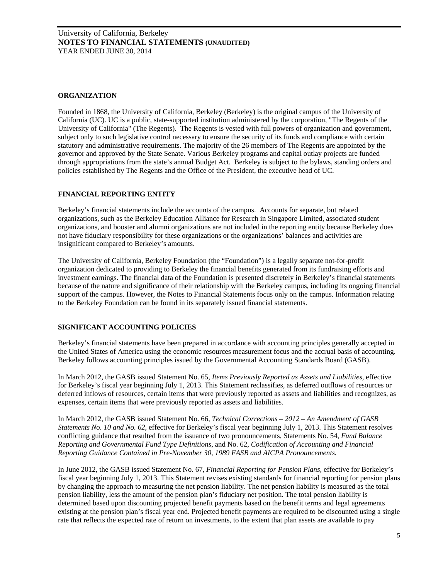## **ORGANIZATION**

Founded in 1868, the University of California, Berkeley (Berkeley) is the original campus of the University of California (UC). UC is a public, state-supported institution administered by the corporation, "The Regents of the University of California" (The Regents). The Regents is vested with full powers of organization and government, subject only to such legislative control necessary to ensure the security of its funds and compliance with certain statutory and administrative requirements. The majority of the 26 members of The Regents are appointed by the governor and approved by the State Senate. Various Berkeley programs and capital outlay projects are funded through appropriations from the state's annual Budget Act. Berkeley is subject to the bylaws, standing orders and policies established by The Regents and the Office of the President, the executive head of UC.

## **FINANCIAL REPORTING ENTITY**

Berkeley's financial statements include the accounts of the campus. Accounts for separate, but related organizations, such as the Berkeley Education Alliance for Research in Singapore Limited, associated student organizations, and booster and alumni organizations are not included in the reporting entity because Berkeley does not have fiduciary responsibility for these organizations or the organizations' balances and activities are insignificant compared to Berkeley's amounts.

The University of California, Berkeley Foundation (the "Foundation") is a legally separate not-for-profit organization dedicated to providing to Berkeley the financial benefits generated from its fundraising efforts and investment earnings. The financial data of the Foundation is presented discretely in Berkeley's financial statements because of the nature and significance of their relationship with the Berkeley campus, including its ongoing financial support of the campus. However, the Notes to Financial Statements focus only on the campus. Information relating to the Berkeley Foundation can be found in its separately issued financial statements.

## **SIGNIFICANT ACCOUNTING POLICIES**

Berkeley's financial statements have been prepared in accordance with accounting principles generally accepted in the United States of America using the economic resources measurement focus and the accrual basis of accounting. Berkeley follows accounting principles issued by the Governmental Accounting Standards Board (GASB).

In March 2012, the GASB issued Statement No. 65, *Items Previously Reported as Assets and Liabilities,* effective for Berkeley's fiscal year beginning July 1, 2013. This Statement reclassifies, as deferred outflows of resources or deferred inflows of resources, certain items that were previously reported as assets and liabilities and recognizes, as expenses, certain items that were previously reported as assets and liabilities.

In March 2012, the GASB issued Statement No. 66, *Technical Corrections – 2012 – An Amendment of GASB Statements No. 10 and No. 62*, effective for Berkeley's fiscal year beginning July 1, 2013. This Statement resolves conflicting guidance that resulted from the issuance of two pronouncements, Statements No. 54, *Fund Balance Reporting and Governmental Fund Type Definitions*, and No. 62, *Codification of Accounting and Financial Reporting Guidance Contained in Pre-November 30, 1989 FASB and AICPA Pronouncements.*

In June 2012, the GASB issued Statement No. 67, *Financial Reporting for Pension Plans*, effective for Berkeley's fiscal year beginning July 1, 2013. This Statement revises existing standards for financial reporting for pension plans by changing the approach to measuring the net pension liability. The net pension liability is measured as the total pension liability, less the amount of the pension plan's fiduciary net position. The total pension liability is determined based upon discounting projected benefit payments based on the benefit terms and legal agreements existing at the pension plan's fiscal year end. Projected benefit payments are required to be discounted using a single rate that reflects the expected rate of return on investments, to the extent that plan assets are available to pay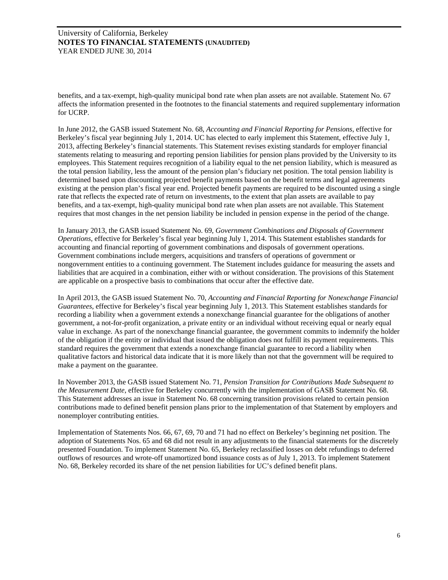benefits, and a tax-exempt, high-quality municipal bond rate when plan assets are not available. Statement No. 67 affects the information presented in the footnotes to the financial statements and required supplementary information for UCRP.

In June 2012, the GASB issued Statement No. 68, *Accounting and Financial Reporting for Pensions*, effective for Berkeley's fiscal year beginning July 1, 2014. UC has elected to early implement this Statement, effective July 1, 2013, affecting Berkeley's financial statements. This Statement revises existing standards for employer financial statements relating to measuring and reporting pension liabilities for pension plans provided by the University to its employees. This Statement requires recognition of a liability equal to the net pension liability, which is measured as the total pension liability, less the amount of the pension plan's fiduciary net position. The total pension liability is determined based upon discounting projected benefit payments based on the benefit terms and legal agreements existing at the pension plan's fiscal year end. Projected benefit payments are required to be discounted using a single rate that reflects the expected rate of return on investments, to the extent that plan assets are available to pay benefits, and a tax-exempt, high-quality municipal bond rate when plan assets are not available. This Statement requires that most changes in the net pension liability be included in pension expense in the period of the change.

In January 2013, the GASB issued Statement No. 69*, Government Combinations and Disposals of Government Operations*, effective for Berkeley's fiscal year beginning July 1, 2014. This Statement establishes standards for accounting and financial reporting of government combinations and disposals of government operations. Government combinations include mergers, acquisitions and transfers of operations of government or nongovernment entities to a continuing government. The Statement includes guidance for measuring the assets and liabilities that are acquired in a combination, either with or without consideration. The provisions of this Statement are applicable on a prospective basis to combinations that occur after the effective date.

In April 2013, the GASB issued Statement No. 70, *Accounting and Financial Reporting for Nonexchange Financial Guarantees*, effective for Berkeley's fiscal year beginning July 1, 2013. This Statement establishes standards for recording a liability when a government extends a nonexchange financial guarantee for the obligations of another government, a not-for-profit organization, a private entity or an individual without receiving equal or nearly equal value in exchange. As part of the nonexchange financial guarantee, the government commits to indemnify the holder of the obligation if the entity or individual that issued the obligation does not fulfill its payment requirements. This standard requires the government that extends a nonexchange financial guarantee to record a liability when qualitative factors and historical data indicate that it is more likely than not that the government will be required to make a payment on the guarantee.

In November 2013, the GASB issued Statement No. 71, *Pension Transition for Contributions Made Subsequent to the Measurement Date*, effective for Berkeley concurrently with the implementation of GASB Statement No. 68. This Statement addresses an issue in Statement No. 68 concerning transition provisions related to certain pension contributions made to defined benefit pension plans prior to the implementation of that Statement by employers and nonemployer contributing entities.

Implementation of Statements Nos. 66, 67, 69, 70 and 71 had no effect on Berkeley's beginning net position. The adoption of Statements Nos. 65 and 68 did not result in any adjustments to the financial statements for the discretely presented Foundation. To implement Statement No. 65, Berkeley reclassified losses on debt refundings to deferred outflows of resources and wrote-off unamortized bond issuance costs as of July 1, 2013. To implement Statement No. 68, Berkeley recorded its share of the net pension liabilities for UC's defined benefit plans.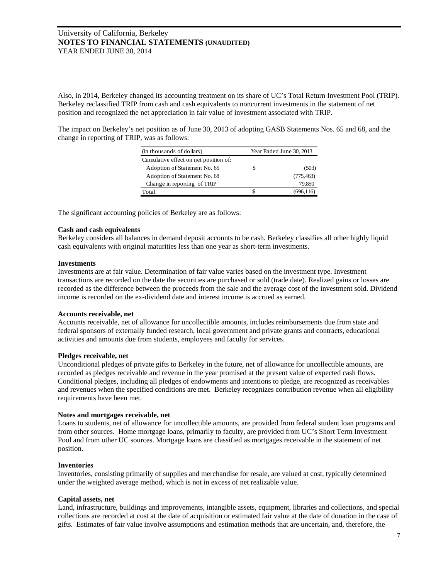Also, in 2014, Berkeley changed its accounting treatment on its share of UC's Total Return Investment Pool (TRIP). Berkeley reclassified TRIP from cash and cash equivalents to noncurrent investments in the statement of net position and recognized the net appreciation in fair value of investment associated with TRIP.

The impact on Berkeley's net position as of June 30, 2013 of adopting GASB Statements Nos. 65 and 68, and the change in reporting of TRIP, was as follows:

| (in thousands of dollars)             | Year Ended June 30, 2013 |            |  |
|---------------------------------------|--------------------------|------------|--|
| Cumulative effect on net position of: |                          |            |  |
| Adoption of Statement No. 65          | S                        | (503)      |  |
| Adoption of Statement No. 68          |                          | (775, 463) |  |
| Change in reporting of TRIP           |                          | 79.850     |  |
| Total                                 | S                        | (696.116)  |  |

The significant accounting policies of Berkeley are as follows:

## **Cash and cash equivalents**

Berkeley considers all balances in demand deposit accounts to be cash. Berkeley classifies all other highly liquid cash equivalents with original maturities less than one year as short-term investments.

#### **Investments**

Investments are at fair value. Determination of fair value varies based on the investment type. Investment transactions are recorded on the date the securities are purchased or sold (trade date). Realized gains or losses are recorded as the difference between the proceeds from the sale and the average cost of the investment sold. Dividend income is recorded on the ex-dividend date and interest income is accrued as earned.

#### **Accounts receivable, net**

Accounts receivable, net of allowance for uncollectible amounts, includes reimbursements due from state and federal sponsors of externally funded research, local government and private grants and contracts, educational activities and amounts due from students, employees and faculty for services.

#### **Pledges receivable, net**

Unconditional pledges of private gifts to Berkeley in the future, net of allowance for uncollectible amounts, are recorded as pledges receivable and revenue in the year promised at the present value of expected cash flows. Conditional pledges, including all pledges of endowments and intentions to pledge, are recognized as receivables and revenues when the specified conditions are met. Berkeley recognizes contribution revenue when all eligibility requirements have been met.

#### **Notes and mortgages receivable, net**

Loans to students, net of allowance for uncollectible amounts, are provided from federal student loan programs and from other sources. Home mortgage loans, primarily to faculty, are provided from UC's Short Term Investment Pool and from other UC sources. Mortgage loans are classified as mortgages receivable in the statement of net position.

## **Inventories**

Inventories, consisting primarily of supplies and merchandise for resale, are valued at cost, typically determined under the weighted average method, which is not in excess of net realizable value.

#### **Capital assets, net**

Land, infrastructure, buildings and improvements, intangible assets, equipment, libraries and collections, and special collections are recorded at cost at the date of acquisition or estimated fair value at the date of donation in the case of gifts. Estimates of fair value involve assumptions and estimation methods that are uncertain, and, therefore, the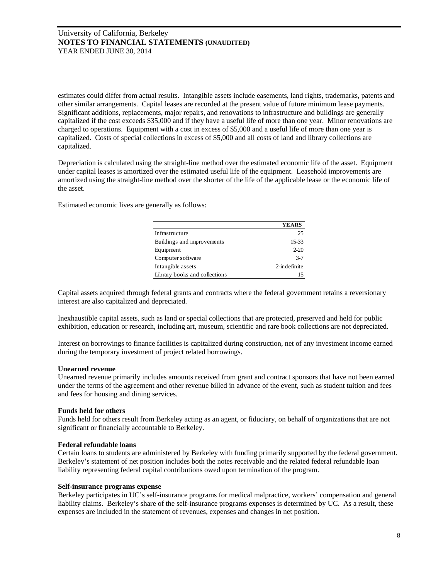estimates could differ from actual results. Intangible assets include easements, land rights, trademarks, patents and other similar arrangements. Capital leases are recorded at the present value of future minimum lease payments. Significant additions, replacements, major repairs, and renovations to infrastructure and buildings are generally capitalized if the cost exceeds \$35,000 and if they have a useful life of more than one year. Minor renovations are charged to operations. Equipment with a cost in excess of \$5,000 and a useful life of more than one year is capitalized. Costs of special collections in excess of \$5,000 and all costs of land and library collections are capitalized.

Depreciation is calculated using the straight-line method over the estimated economic life of the asset. Equipment under capital leases is amortized over the estimated useful life of the equipment. Leasehold improvements are amortized using the straight-line method over the shorter of the life of the applicable lease or the economic life of the asset.

Estimated economic lives are generally as follows:

|                               | <b>YEARS</b> |
|-------------------------------|--------------|
| Infrastructure                | 25           |
| Buildings and improvements    | 15-33        |
| Equipment                     | $2 - 20$     |
| Computer software             | $3 - 7$      |
| Intangible assets             | 2-indefinite |
| Library books and collections | 15           |

Capital assets acquired through federal grants and contracts where the federal government retains a reversionary interest are also capitalized and depreciated.

Inexhaustible capital assets, such as land or special collections that are protected, preserved and held for public exhibition, education or research, including art, museum, scientific and rare book collections are not depreciated.

Interest on borrowings to finance facilities is capitalized during construction, net of any investment income earned during the temporary investment of project related borrowings.

## **Unearned revenue**

Unearned revenue primarily includes amounts received from grant and contract sponsors that have not been earned under the terms of the agreement and other revenue billed in advance of the event, such as student tuition and fees and fees for housing and dining services.

## **Funds held for others**

Funds held for others result from Berkeley acting as an agent, or fiduciary, on behalf of organizations that are not significant or financially accountable to Berkeley.

#### **Federal refundable loans**

Certain loans to students are administered by Berkeley with funding primarily supported by the federal government. Berkeley's statement of net position includes both the notes receivable and the related federal refundable loan liability representing federal capital contributions owed upon termination of the program.

#### **Self-insurance programs expense**

Berkeley participates in UC's self-insurance programs for medical malpractice, workers' compensation and general liability claims. Berkeley's share of the self-insurance programs expenses is determined by UC. As a result, these expenses are included in the statement of revenues, expenses and changes in net position.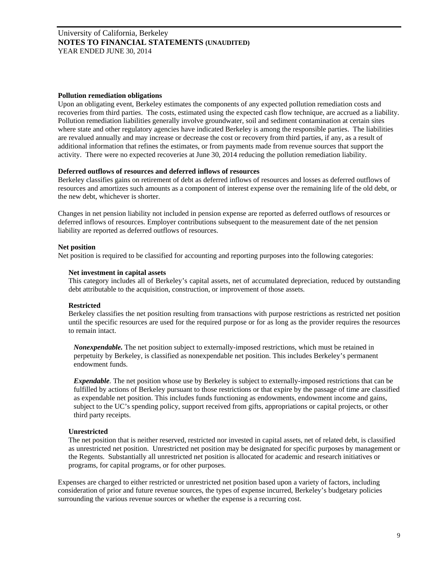#### **Pollution remediation obligations**

Upon an obligating event, Berkeley estimates the components of any expected pollution remediation costs and recoveries from third parties. The costs, estimated using the expected cash flow technique, are accrued as a liability. Pollution remediation liabilities generally involve groundwater, soil and sediment contamination at certain sites where state and other regulatory agencies have indicated Berkeley is among the responsible parties. The liabilities are revalued annually and may increase or decrease the cost or recovery from third parties, if any, as a result of additional information that refines the estimates, or from payments made from revenue sources that support the activity. There were no expected recoveries at June 30, 2014 reducing the pollution remediation liability.

## **Deferred outflows of resources and deferred inflows of resources**

Berkeley classifies gains on retirement of debt as deferred inflows of resources and losses as deferred outflows of resources and amortizes such amounts as a component of interest expense over the remaining life of the old debt, or the new debt, whichever is shorter.

Changes in net pension liability not included in pension expense are reported as deferred outflows of resources or deferred inflows of resources. Employer contributions subsequent to the measurement date of the net pension liability are reported as deferred outflows of resources.

#### **Net position**

Net position is required to be classified for accounting and reporting purposes into the following categories:

#### **Net investment in capital assets**

This category includes all of Berkeley's capital assets, net of accumulated depreciation, reduced by outstanding debt attributable to the acquisition, construction, or improvement of those assets.

#### **Restricted**

Berkeley classifies the net position resulting from transactions with purpose restrictions as restricted net position until the specific resources are used for the required purpose or for as long as the provider requires the resources to remain intact.

*Nonexpendable.* The net position subject to externally-imposed restrictions, which must be retained in perpetuity by Berkeley, is classified as nonexpendable net position. This includes Berkeley's permanent endowment funds.

*Expendable.* The net position whose use by Berkeley is subject to externally-imposed restrictions that can be fulfilled by actions of Berkeley pursuant to those restrictions or that expire by the passage of time are classified as expendable net position. This includes funds functioning as endowments, endowment income and gains, subject to the UC's spending policy, support received from gifts, appropriations or capital projects, or other third party receipts.

#### **Unrestricted**

The net position that is neither reserved, restricted nor invested in capital assets, net of related debt, is classified as unrestricted net position. Unrestricted net position may be designated for specific purposes by management or the Regents. Substantially all unrestricted net position is allocated for academic and research initiatives or programs, for capital programs, or for other purposes.

Expenses are charged to either restricted or unrestricted net position based upon a variety of factors, including consideration of prior and future revenue sources, the types of expense incurred, Berkeley's budgetary policies surrounding the various revenue sources or whether the expense is a recurring cost.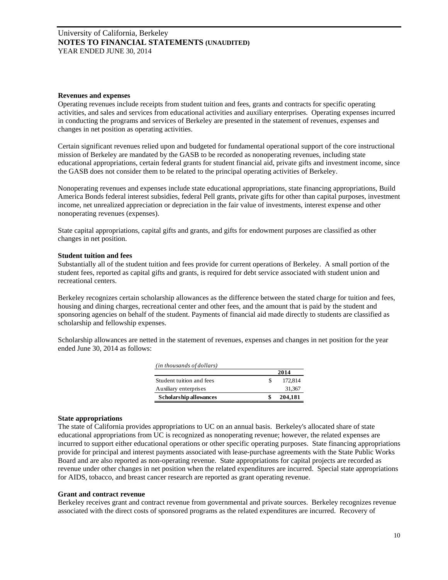#### **Revenues and expenses**

Operating revenues include receipts from student tuition and fees, grants and contracts for specific operating activities, and sales and services from educational activities and auxiliary enterprises. Operating expenses incurred in conducting the programs and services of Berkeley are presented in the statement of revenues, expenses and changes in net position as operating activities.

Certain significant revenues relied upon and budgeted for fundamental operational support of the core instructional mission of Berkeley are mandated by the GASB to be recorded as nonoperating revenues, including state educational appropriations, certain federal grants for student financial aid, private gifts and investment income, since the GASB does not consider them to be related to the principal operating activities of Berkeley.

Nonoperating revenues and expenses include state educational appropriations, state financing appropriations, Build America Bonds federal interest subsidies, federal Pell grants, private gifts for other than capital purposes, investment income, net unrealized appreciation or depreciation in the fair value of investments, interest expense and other nonoperating revenues (expenses).

State capital appropriations, capital gifts and grants, and gifts for endowment purposes are classified as other changes in net position.

#### **Student tuition and fees**

Substantially all of the student tuition and fees provide for current operations of Berkeley. A small portion of the student fees, reported as capital gifts and grants, is required for debt service associated with student union and recreational centers.

Berkeley recognizes certain scholarship allowances as the difference between the stated charge for tuition and fees, housing and dining charges, recreational center and other fees, and the amount that is paid by the student and sponsoring agencies on behalf of the student. Payments of financial aid made directly to students are classified as scholarship and fellowship expenses.

Scholarship allowances are netted in the statement of revenues, expenses and changes in net position for the year ended June 30, 2014 as follows:

| ( <i>in thousands of dollars</i> ) |         |
|------------------------------------|---------|
|                                    | 2014    |
| Student tuition and fees           | 172,814 |
| Auxiliary enterprises              | 31,367  |
| Scholarship allowances             | 204,181 |

#### **State appropriations**

The state of California provides appropriations to UC on an annual basis. Berkeley's allocated share of state educational appropriations from UC is recognized as nonoperating revenue; however, the related expenses are incurred to support either educational operations or other specific operating purposes. State financing appropriations provide for principal and interest payments associated with lease-purchase agreements with the State Public Works Board and are also reported as non-operating revenue. State appropriations for capital projects are recorded as revenue under other changes in net position when the related expenditures are incurred. Special state appropriations for AIDS, tobacco, and breast cancer research are reported as grant operating revenue.

#### **Grant and contract revenue**

Berkeley receives grant and contract revenue from governmental and private sources. Berkeley recognizes revenue associated with the direct costs of sponsored programs as the related expenditures are incurred. Recovery of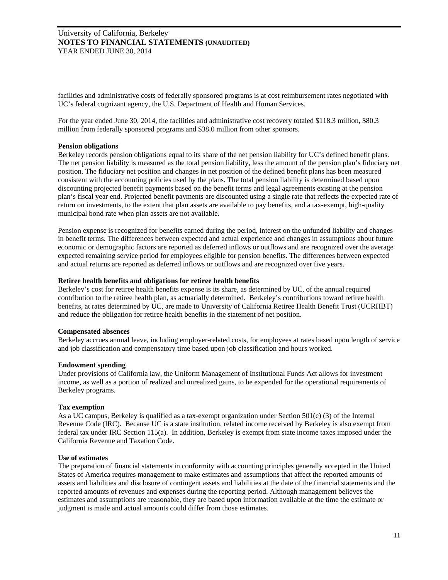facilities and administrative costs of federally sponsored programs is at cost reimbursement rates negotiated with UC's federal cognizant agency, the U.S. Department of Health and Human Services.

For the year ended June 30, 2014, the facilities and administrative cost recovery totaled \$118.3 million, \$80.3 million from federally sponsored programs and \$38.0 million from other sponsors.

## **Pension obligations**

Berkeley records pension obligations equal to its share of the net pension liability for UC's defined benefit plans. The net pension liability is measured as the total pension liability, less the amount of the pension plan's fiduciary net position. The fiduciary net position and changes in net position of the defined benefit plans has been measured consistent with the accounting policies used by the plans. The total pension liability is determined based upon discounting projected benefit payments based on the benefit terms and legal agreements existing at the pension plan's fiscal year end. Projected benefit payments are discounted using a single rate that reflects the expected rate of return on investments, to the extent that plan assets are available to pay benefits, and a tax-exempt, high-quality municipal bond rate when plan assets are not available.

Pension expense is recognized for benefits earned during the period, interest on the unfunded liability and changes in benefit terms. The differences between expected and actual experience and changes in assumptions about future economic or demographic factors are reported as deferred inflows or outflows and are recognized over the average expected remaining service period for employees eligible for pension benefits. The differences between expected and actual returns are reported as deferred inflows or outflows and are recognized over five years.

## **Retiree health benefits and obligations for retiree health benefits**

Berkeley's cost for retiree health benefits expense is its share, as determined by UC, of the annual required contribution to the retiree health plan, as actuarially determined. Berkeley's contributions toward retiree health benefits, at rates determined by UC, are made to University of California Retiree Health Benefit Trust (UCRHBT) and reduce the obligation for retiree health benefits in the statement of net position.

## **Compensated absences**

Berkeley accrues annual leave, including employer-related costs, for employees at rates based upon length of service and job classification and compensatory time based upon job classification and hours worked.

## **Endowment spending**

Under provisions of California law, the Uniform Management of Institutional Funds Act allows for investment income, as well as a portion of realized and unrealized gains, to be expended for the operational requirements of Berkeley programs.

## **Tax exemption**

As a UC campus, Berkeley is qualified as a tax-exempt organization under Section 501(c) (3) of the Internal Revenue Code (IRC). Because UC is a state institution, related income received by Berkeley is also exempt from federal tax under IRC Section 115(a). In addition, Berkeley is exempt from state income taxes imposed under the California Revenue and Taxation Code.

## **Use of estimates**

The preparation of financial statements in conformity with accounting principles generally accepted in the United States of America requires management to make estimates and assumptions that affect the reported amounts of assets and liabilities and disclosure of contingent assets and liabilities at the date of the financial statements and the reported amounts of revenues and expenses during the reporting period. Although management believes the estimates and assumptions are reasonable, they are based upon information available at the time the estimate or judgment is made and actual amounts could differ from those estimates.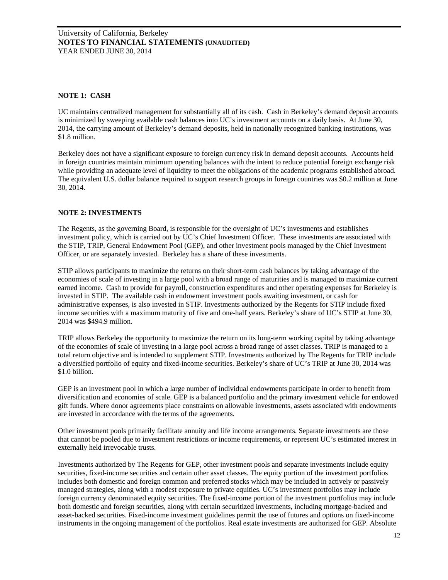## **NOTE 1: CASH**

UC maintains centralized management for substantially all of its cash. Cash in Berkeley's demand deposit accounts is minimized by sweeping available cash balances into UC's investment accounts on a daily basis. At June 30, 2014, the carrying amount of Berkeley's demand deposits, held in nationally recognized banking institutions, was \$1.8 million.

Berkeley does not have a significant exposure to foreign currency risk in demand deposit accounts. Accounts held in foreign countries maintain minimum operating balances with the intent to reduce potential foreign exchange risk while providing an adequate level of liquidity to meet the obligations of the academic programs established abroad. The equivalent U.S. dollar balance required to support research groups in foreign countries was \$0.2 million at June 30, 2014.

## **NOTE 2: INVESTMENTS**

The Regents, as the governing Board, is responsible for the oversight of UC's investments and establishes investment policy, which is carried out by UC's Chief Investment Officer. These investments are associated with the STIP, TRIP, General Endowment Pool (GEP), and other investment pools managed by the Chief Investment Officer, or are separately invested. Berkeley has a share of these investments.

STIP allows participants to maximize the returns on their short-term cash balances by taking advantage of the economies of scale of investing in a large pool with a broad range of maturities and is managed to maximize current earned income. Cash to provide for payroll, construction expenditures and other operating expenses for Berkeley is invested in STIP. The available cash in endowment investment pools awaiting investment, or cash for administrative expenses, is also invested in STIP. Investments authorized by the Regents for STIP include fixed income securities with a maximum maturity of five and one-half years. Berkeley's share of UC's STIP at June 30, 2014 was \$494.9 million.

TRIP allows Berkeley the opportunity to maximize the return on its long-term working capital by taking advantage of the economies of scale of investing in a large pool across a broad range of asset classes. TRIP is managed to a total return objective and is intended to supplement STIP. Investments authorized by The Regents for TRIP include a diversified portfolio of equity and fixed-income securities. Berkeley's share of UC's TRIP at June 30, 2014 was \$1.0 billion.

GEP is an investment pool in which a large number of individual endowments participate in order to benefit from diversification and economies of scale. GEP is a balanced portfolio and the primary investment vehicle for endowed gift funds. Where donor agreements place constraints on allowable investments, assets associated with endowments are invested in accordance with the terms of the agreements.

Other investment pools primarily facilitate annuity and life income arrangements. Separate investments are those that cannot be pooled due to investment restrictions or income requirements, or represent UC's estimated interest in externally held irrevocable trusts.

Investments authorized by The Regents for GEP, other investment pools and separate investments include equity securities, fixed-income securities and certain other asset classes. The equity portion of the investment portfolios includes both domestic and foreign common and preferred stocks which may be included in actively or passively managed strategies, along with a modest exposure to private equities. UC's investment portfolios may include foreign currency denominated equity securities. The fixed-income portion of the investment portfolios may include both domestic and foreign securities, along with certain securitized investments, including mortgage-backed and asset-backed securities. Fixed-income investment guidelines permit the use of futures and options on fixed-income instruments in the ongoing management of the portfolios. Real estate investments are authorized for GEP. Absolute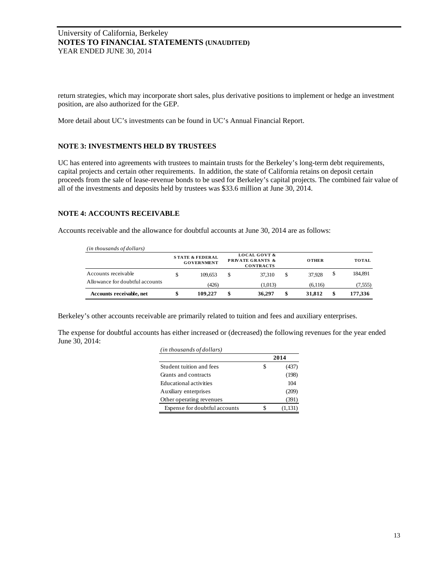return strategies, which may incorporate short sales, plus derivative positions to implement or hedge an investment position, are also authorized for the GEP.

More detail about UC's investments can be found in UC's Annual Financial Report.

## **NOTE 3: INVESTMENTS HELD BY TRUSTEES**

UC has entered into agreements with trustees to maintain trusts for the Berkeley's long-term debt requirements, capital projects and certain other requirements. In addition, the state of California retains on deposit certain proceeds from the sale of lease-revenue bonds to be used for Berkeley's capital projects. The combined fair value of all of the investments and deposits held by trustees was \$33.6 million at June 30, 2014.

## **NOTE 4: ACCOUNTS RECEIVABLE**

Accounts receivable and the allowance for doubtful accounts at June 30, 2014 are as follows:

| (in thousands of dollars)       |                                                 |                                                                            |              |    |              |
|---------------------------------|-------------------------------------------------|----------------------------------------------------------------------------|--------------|----|--------------|
|                                 | <b>STATE &amp; FEDERAL</b><br><b>GOVERNMENT</b> | <b>LOCAL GOVT &amp;</b><br><b>PRIVATE GRANTS &amp;</b><br><b>CONTRACTS</b> | <b>OTHER</b> |    | <b>TOTAL</b> |
| Accounts receivable             | 109.653                                         | 37.310                                                                     | \$<br>37.928 | S  | 184,891      |
| Allowance for doubtful accounts | (426)                                           | (1,013)                                                                    | (6,116)      |    | (7, 555)     |
| Accounts receivable, net        | 109.227                                         | 36.297                                                                     | \$<br>31,812 | \$ | 177.336      |

Berkeley's other accounts receivable are primarily related to tuition and fees and auxiliary enterprises.

The expense for doubtful accounts has either increased or (decreased) the following revenues for the year ended June 30, 2014:

| (in thousands of dollars)     |      |         |  |  |  |
|-------------------------------|------|---------|--|--|--|
|                               | 2014 |         |  |  |  |
| Student tuition and fees      |      | (437)   |  |  |  |
| Grants and contracts          |      | (198)   |  |  |  |
| Educational activities        |      | 104     |  |  |  |
| Auxiliary enterprises         |      | (209)   |  |  |  |
| Other operating revenues      |      | (391)   |  |  |  |
| Expense for doubtful accounts |      | (1,151) |  |  |  |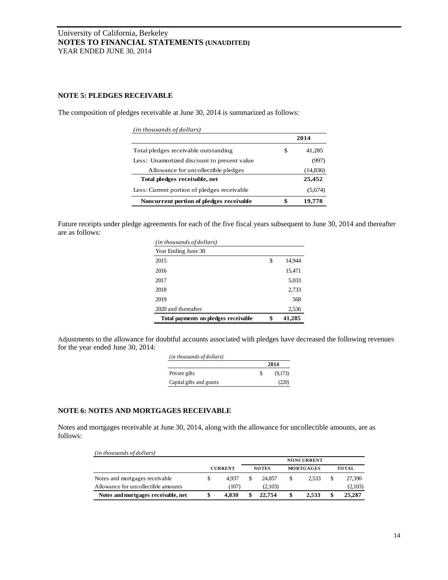## **NOTE 5: PLEDGES RECEIVABLE**

The composition of pledges receivable at June 30, 2014 is summarized as follows:

| (in thousands of dollars)                   |      |          |  |
|---------------------------------------------|------|----------|--|
|                                             | 2014 |          |  |
| Total pledges receivable outstanding        | S    | 41.285   |  |
| Less: Unamortized discount to present value |      | (997)    |  |
| Allowance for uncollectible pledges         |      | (14,836) |  |
| Total pledges receivable, net               |      | 25,452   |  |
| Less: Current portion of pledges receivable |      | (5,674)  |  |
| Noncurrent portion of pledges receivable    |      | 19.778   |  |

Future receipts under pledge agreements for each of the five fiscal years subsequent to June 30, 2014 and thereafter are as follows:

| (in thousands of dollars)            |              |
|--------------------------------------|--------------|
| Year Ending June 30                  |              |
| 2015                                 | \$<br>14.944 |
| 2016                                 | 15,471       |
| 2017                                 | 5,033        |
| 2018                                 | 2,733        |
| 2019                                 | 568          |
| 2020 and thereafter                  | 2,536        |
| Total payments on pledges receivable | \$<br>41,285 |

Adjustments to the allowance for doubtful accounts associated with pledges have decreased the following revenues for the year ended June 30, 2014:

| (in thousands of dollars) |          |         |  |  |
|---------------------------|----------|---------|--|--|
|                           |          | 2014    |  |  |
| Private gifts             | <b>S</b> | (9,173) |  |  |
| Capital gifts and grants  |          | (220)   |  |  |

# **NOTE 6: NOTES AND MORTGAGES RECEIVABLE**

Notes and mortgages receivable at June 30, 2014, along with the allowance for uncollectible amounts, are as follows:

| (in thousands of dollars)           |                |       |              |         |                   |   |              |
|-------------------------------------|----------------|-------|--------------|---------|-------------------|---|--------------|
|                                     |                |       |              |         | <b>NONCURRENT</b> |   |              |
|                                     | <b>CURRENT</b> |       | <b>NOTES</b> |         | <b>MORTGAGES</b>  |   | <b>TOTAL</b> |
| Notes and mortgages receivable.     | \$             | 4.937 |              | 24.857  | 2.533             | S | 27.390       |
| Allowance for uncollectible amounts |                | (107) |              | (2,103) |                   |   | (2,103)      |
| Notes and mortgages receivable, net |                | 4.830 |              | 22.754  | 2.533             |   | 25,287       |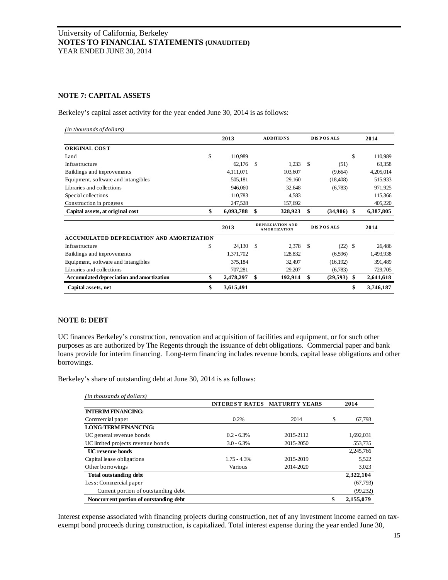## **NOTE 7: CAPITAL ASSETS**

Berkeley's capital asset activity for the year ended June 30, 2014 is as follows:

| (in thousands of dollars)                        |                 |                  |                                         |                  |                  |    |           |
|--------------------------------------------------|-----------------|------------------|-----------------------------------------|------------------|------------------|----|-----------|
|                                                  | 2013            | <b>ADDITIONS</b> |                                         | <b>DISPOSALS</b> |                  |    | 2014      |
| <b>ORIGINAL COST</b>                             |                 |                  |                                         |                  |                  |    |           |
| Land                                             | \$<br>110,989   |                  |                                         |                  |                  | \$ | 110,989   |
| Infrastructure                                   | 62,176          | \$               | 1,233                                   | \$.              | (51)             |    | 63,358    |
| Buildings and improvements                       | 4,111,071       |                  | 103,607                                 |                  | (9,664)          |    | 4,205,014 |
| Equipment, software and intangibles              | 505,181         |                  | 29,160                                  |                  | (18, 408)        |    | 515,933   |
| Libraries and collections                        | 946,060         |                  | 32,648                                  |                  | (6,783)          |    | 971,925   |
| Special collections                              | 110,783         |                  | 4,583                                   |                  |                  |    | 115,366   |
| Construction in progress                         | 247,528         |                  | 157,692                                 |                  |                  |    | 405,220   |
| Capital assets, at original cost                 | \$<br>6,093,788 | \$               | 328,923                                 | \$               | (34,906)         | -S | 6,387,805 |
|                                                  | 2013            |                  | DEPRECIATION AND<br><b>AMORTIZATION</b> |                  | <b>DISPOSALS</b> |    | 2014      |
| <b>ACCUMULATED DEPRECIATION AND AMORTIZATION</b> |                 |                  |                                         |                  |                  |    |           |
| Infrastructure                                   | \$<br>24,130    | \$               | 2,378                                   | \$               | (22)             | -S | 26,486    |
| Buildings and improvements                       | 1,371,702       |                  | 128,832                                 |                  | (6,596)          |    | 1,493,938 |
| Equipment, software and intangibles              | 375,184         |                  | 32,497                                  |                  | (16, 192)        |    | 391,489   |
| Libraries and collections                        | 707,281         |                  | 29,207                                  |                  | (6,783)          |    | 729,705   |
| Accumulated depreciation and amortization        | \$<br>2,478,297 | \$               | 192,914                                 | \$               | (29, 593)        | \$ | 2,641,618 |
| Capital assets, net                              | \$<br>3,615,491 |                  |                                         |                  |                  | \$ | 3,746,187 |

## **NOTE 8: DEBT**

UC finances Berkeley's construction, renovation and acquisition of facilities and equipment, or for such other purposes as are authorized by The Regents through the issuance of debt obligations. Commercial paper and bank loans provide for interim financing. Long-term financing includes revenue bonds, capital lease obligations and other borrowings.

Berkeley's share of outstanding debt at June 30, 2014 is as follows:

| (in thousands of dollars)              |               |                                      |                 |
|----------------------------------------|---------------|--------------------------------------|-----------------|
|                                        |               | <b>INTEREST RATES MATURITY YEARS</b> | 2014            |
| <b>INTERIM FINANCING:</b>              |               |                                      |                 |
| Commercial paper                       | 0.2%          | 2014                                 | \$<br>67,793    |
| <b>LONG-TERM FINANCING:</b>            |               |                                      |                 |
| UC general revenue bonds               | $0.2 - 6.3%$  | 2015-2112                            | 1,692,031       |
| UC limited projects revenue bonds      | $3.0 - 6.3\%$ | 2015-2050                            | 553,735         |
| <b>UC</b> revenue bonds                |               |                                      | 2,245,766       |
| Capital lease obligations              | $1.75 - 4.3%$ | 2015-2019                            | 5.522           |
| Other borrowings                       | Various       | 2014-2020                            | 3,023           |
| Total outstanding debt                 |               |                                      | 2,322,104       |
| Less: Commercial paper                 |               |                                      | (67,793)        |
| Current portion of outstanding debt    |               |                                      | (99, 232)       |
| Noncurrent portion of outstanding debt |               |                                      | \$<br>2,155,079 |

Interest expense associated with financing projects during construction, net of any investment income earned on taxexempt bond proceeds during construction, is capitalized. Total interest expense during the year ended June 30,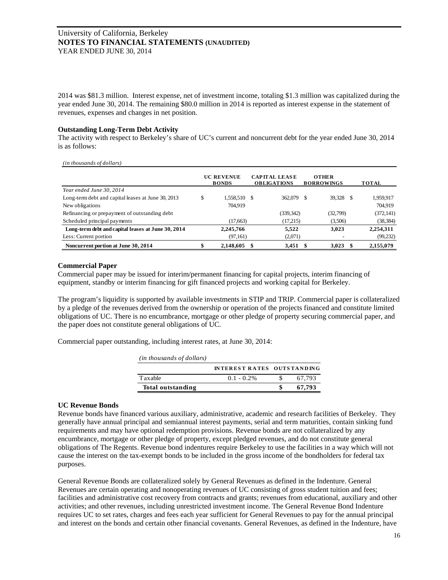2014 was \$81.3 million. Interest expense, net of investment income, totaling \$1.3 million was capitalized during the year ended June 30, 2014. The remaining \$80.0 million in 2014 is reported as interest expense in the statement of revenues, expenses and changes in net position.

#### **Outstanding Long-Term Debt Activity**

The activity with respect to Berkeley's share of UC's current and noncurrent debt for the year ended June 30, 2014 is as follows:

*(in thousands of dollars)*

|                                                    | <b>UC REVENUE</b><br><b>BONDS</b> |    | <b>CAPITAL LEASE</b><br><b>OBLIGATIONS</b> |     | <b>OTHER</b><br><b>BORROWINGS</b> | <b>TOTAL</b> |
|----------------------------------------------------|-----------------------------------|----|--------------------------------------------|-----|-----------------------------------|--------------|
| Year ended June 30, 2014                           |                                   |    |                                            |     |                                   |              |
| Long-term debt and capital leases at June 30, 2013 | 1,558,510                         | -S | 362,079                                    | S   | 39.328<br>\$.                     | 1,959,917    |
| New obligations                                    | 704.919                           |    |                                            |     |                                   | 704.919      |
| Refinancing or prepayment of outstanding debt      |                                   |    | (339, 342)                                 |     | (32,799)                          | (372, 141)   |
| Scheduled principal payments                       | (17,663)                          |    | (17,215)                                   |     | (3,506)                           | (38, 384)    |
| Long-term debt and capital leases at June 30, 2014 | 2,245,766                         |    | 5.522                                      |     | 3.023                             | 2,254,311    |
| Less: Current portion                              | (97,161)                          |    | (2,071)                                    |     |                                   | (99, 232)    |
| Noncurrent portion at June 30, 2014                | 2,148,605                         |    | 3.451                                      | -\$ | 3,023                             | 2,155,079    |

## **Commercial Paper**

Commercial paper may be issued for interim/permanent financing for capital projects, interim financing of equipment, standby or interim financing for gift financed projects and working capital for Berkeley.

The program's liquidity is supported by available investments in STIP and TRIP. Commercial paper is collateralized by a pledge of the revenues derived from the ownership or operation of the projects financed and constitute limited obligations of UC. There is no encumbrance, mortgage or other pledge of property securing commercial paper, and the paper does not constitute general obligations of UC.

Commercial paper outstanding, including interest rates, at June 30, 2014:

| (in thousands of dollars) |                                   |        |
|---------------------------|-----------------------------------|--------|
|                           | <b>INTEREST RATES OUTSTANDING</b> |        |
| Taxable                   | $0.1 - 0.2\%$                     | 67.793 |
| Total outstanding         |                                   | 67.793 |

## **UC Revenue Bonds**

Revenue bonds have financed various auxiliary, administrative, academic and research facilities of Berkeley. They generally have annual principal and semiannual interest payments, serial and term maturities, contain sinking fund requirements and may have optional redemption provisions. Revenue bonds are not collateralized by any encumbrance, mortgage or other pledge of property, except pledged revenues, and do not constitute general obligations of The Regents. Revenue bond indentures require Berkeley to use the facilities in a way which will not cause the interest on the tax-exempt bonds to be included in the gross income of the bondholders for federal tax purposes.

General Revenue Bonds are collateralized solely by General Revenues as defined in the Indenture. General Revenues are certain operating and nonoperating revenues of UC consisting of gross student tuition and fees; facilities and administrative cost recovery from contracts and grants; revenues from educational, auxiliary and other activities; and other revenues, including unrestricted investment income. The General Revenue Bond Indenture requires UC to set rates, charges and fees each year sufficient for General Revenues to pay for the annual principal and interest on the bonds and certain other financial covenants. General Revenues, as defined in the Indenture, have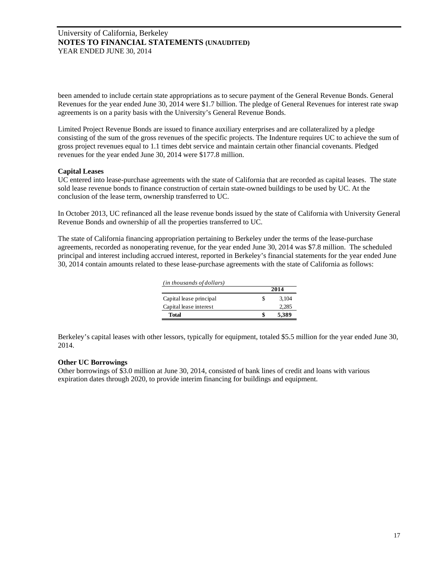been amended to include certain state appropriations as to secure payment of the General Revenue Bonds. General Revenues for the year ended June 30, 2014 were \$1.7 billion. The pledge of General Revenues for interest rate swap agreements is on a parity basis with the University's General Revenue Bonds.

Limited Project Revenue Bonds are issued to finance auxiliary enterprises and are collateralized by a pledge consisting of the sum of the gross revenues of the specific projects. The Indenture requires UC to achieve the sum of gross project revenues equal to 1.1 times debt service and maintain certain other financial covenants. Pledged revenues for the year ended June 30, 2014 were \$177.8 million.

## **Capital Leases**

UC entered into lease-purchase agreements with the state of California that are recorded as capital leases. The state sold lease revenue bonds to finance construction of certain state-owned buildings to be used by UC. At the conclusion of the lease term, ownership transferred to UC.

In October 2013, UC refinanced all the lease revenue bonds issued by the state of California with University General Revenue Bonds and ownership of all the properties transferred to UC.

The state of California financing appropriation pertaining to Berkeley under the terms of the lease-purchase agreements, recorded as nonoperating revenue, for the year ended June 30, 2014 was \$7.8 million. The scheduled principal and interest including accrued interest, reported in Berkeley's financial statements for the year ended June 30, 2014 contain amounts related to these lease-purchase agreements with the state of California as follows:

| (in thousands of dollars) |      |       |  |  |  |
|---------------------------|------|-------|--|--|--|
|                           | 2014 |       |  |  |  |
| Capital lease principal   | S    | 3.104 |  |  |  |
| Capital lease interest    |      | 2.285 |  |  |  |
| Total                     | S    | 5,389 |  |  |  |

Berkeley's capital leases with other lessors, typically for equipment, totaled \$5.5 million for the year ended June 30, 2014.

## **Other UC Borrowings**

Other borrowings of \$3.0 million at June 30, 2014, consisted of bank lines of credit and loans with various expiration dates through 2020, to provide interim financing for buildings and equipment.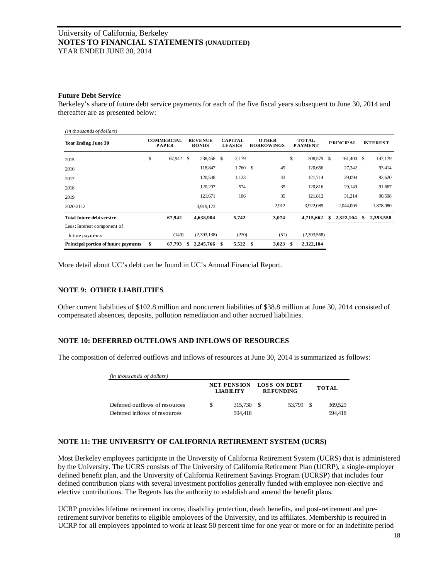#### **Future Debt Service**

Berkeley's share of future debt service payments for each of the five fiscal years subsequent to June 30, 2014 and thereafter are as presented below:

| (in thousands of dollars)            |                                   |    |                                |   |                                 |      |                                   |                                |    |                  |   |                 |
|--------------------------------------|-----------------------------------|----|--------------------------------|---|---------------------------------|------|-----------------------------------|--------------------------------|----|------------------|---|-----------------|
| Year Ending June 30                  | <b>COMMERCIAL</b><br><b>PAPER</b> |    | <b>REVENUE</b><br><b>BONDS</b> |   | <b>CAPITAL</b><br><b>LEASES</b> |      | <b>OTHER</b><br><b>BORROWINGS</b> | <b>TOTAL</b><br><b>PAYMENT</b> |    | <b>PRINCIPAL</b> |   | <b>INTEREST</b> |
| 2015                                 | \$<br>67,942                      | S  | 238,458 \$                     |   | 2,179                           |      |                                   | \$<br>308,579                  | -S | 161,400 \$       |   | 147,179         |
| 2016                                 |                                   |    | 118,847                        |   | $1,760$ \$                      |      | 49                                | 120,656                        |    | 27,242           |   | 93,414          |
| 2017                                 |                                   |    | 120,548                        |   | 1,123                           |      | 43                                | 121,714                        |    | 29,094           |   | 92,620          |
| 2018                                 |                                   |    | 120,207                        |   | 574                             |      | 35                                | 120,816                        |    | 29,149           |   | 91,667          |
| 2019                                 |                                   |    | 121,671                        |   | 106                             |      | 35                                | 121,812                        |    | 31,214           |   | 90,598          |
| 2020-2112                            |                                   |    | 3,919,173                      |   |                                 |      | 2,912                             | 3,922,085                      |    | 2,044,005        |   | 1,878,080       |
| Total future debt service            | 67,942                            |    | 4,638,904                      |   | 5,742                           |      | 3,074                             | 4,715,662                      |    | 2,322,104        | S | 2,393,558       |
| Less: Interest component of          |                                   |    |                                |   |                                 |      |                                   |                                |    |                  |   |                 |
| future payments                      | (149)                             |    | (2, 393, 138)                  |   | (220)                           |      | (51)                              | (2,393,558)                    |    |                  |   |                 |
| Principal portion of future payments | \$<br>67,793                      | \$ | 2,245,766                      | S | 5,522                           | - \$ | 3,023                             | \$<br>2,322,104                |    |                  |   |                 |

More detail about UC's debt can be found in UC's Annual Financial Report.

## **NOTE 9: OTHER LIABILITIES**

Other current liabilities of \$102.8 million and noncurrent liabilities of \$38.8 million at June 30, 2014 consisted of compensated absences, deposits, pollution remediation and other accrued liabilities.

## **NOTE 10: DEFERRED OUTFLOWS AND INFLOWS OF RESOURCES**

The composition of deferred outflows and inflows of resources at June 30, 2014 is summarized as follows:

| (in thousands of dollars)      |                                        |  |                                  |              |
|--------------------------------|----------------------------------------|--|----------------------------------|--------------|
|                                | <b>NET PENSION</b><br><b>LIABILITY</b> |  | LOSS ON DEBT<br><b>REFUNDING</b> | <b>TOTAL</b> |
| Deferred outflows of resources | 315.730 \$                             |  | 53.799 \$                        | 369.529      |
| Deferred inflows of resources  | 594.418                                |  |                                  | 594.418      |

# **NOTE 11: THE UNIVERSITY OF CALIFORNIA RETIREMENT SYSTEM (UCRS)**

Most Berkeley employees participate in the University of California Retirement System (UCRS) that is administered by the University. The UCRS consists of The University of California Retirement Plan (UCRP), a single-employer defined benefit plan, and the University of California Retirement Savings Program (UCRSP) that includes four defined contribution plans with several investment portfolios generally funded with employee non-elective and elective contributions. The Regents has the authority to establish and amend the benefit plans.

UCRP provides lifetime retirement income, disability protection, death benefits, and post-retirement and preretirement survivor benefits to eligible employees of the University, and its affiliates. Membership is required in UCRP for all employees appointed to work at least 50 percent time for one year or more or for an indefinite period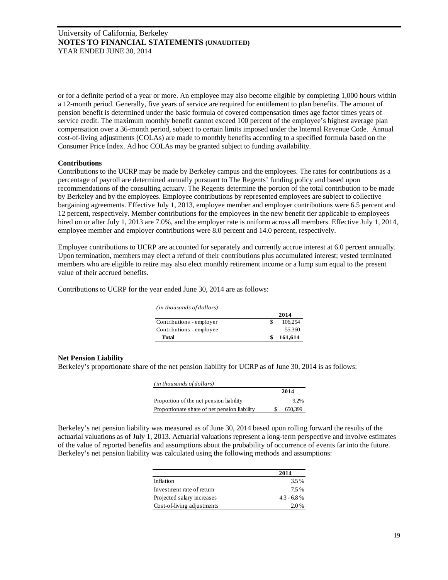or for a definite period of a year or more. An employee may also become eligible by completing 1,000 hours within a 12-month period. Generally, five years of service are required for entitlement to plan benefits. The amount of pension benefit is determined under the basic formula of covered compensation times age factor times years of service credit. The maximum monthly benefit cannot exceed 100 percent of the employee's highest average plan compensation over a 36-month period, subject to certain limits imposed under the Internal Revenue Code. Annual cost-of-living adjustments (COLAs) are made to monthly benefits according to a specified formula based on the Consumer Price Index. Ad hoc COLAs may be granted subject to funding availability.

## **Contributions**

Contributions to the UCRP may be made by Berkeley campus and the employees. The rates for contributions as a percentage of payroll are determined annually pursuant to The Regents' funding policy and based upon recommendations of the consulting actuary. The Regents determine the portion of the total contribution to be made by Berkeley and by the employees. Employee contributions by represented employees are subject to collective bargaining agreements. Effective July 1, 2013, employee member and employer contributions were 6.5 percent and 12 percent, respectively. Member contributions for the employees in the new benefit tier applicable to employees hired on or after July 1, 2013 are 7.0%, and the employer rate is uniform across all members. Effective July 1, 2014, employee member and employer contributions were 8.0 percent and 14.0 percent, respectively.

Employee contributions to UCRP are accounted for separately and currently accrue interest at 6.0 percent annually. Upon termination, members may elect a refund of their contributions plus accumulated interest; vested terminated members who are eligible to retire may also elect monthly retirement income or a lump sum equal to the present value of their accrued benefits.

Contributions to UCRP for the year ended June 30, 2014 are as follows:

| (in thousands of dollars) |         |
|---------------------------|---------|
|                           | 2014    |
| Contributions - employer  | 106.254 |
| Contributions - employee  | 55,360  |
| <b>Total</b>              | 161,614 |

## **Net Pension Liability**

Berkeley's proportionate share of the net pension liability for UCRP as of June 30, 2014 is as follows:

| (in thousands of dollars)                    |         |
|----------------------------------------------|---------|
|                                              | 2014    |
| Proportion of the net pension liability      | 9.2%    |
| Proportionate share of net pension liability | 650,399 |

Berkeley's net pension liability was measured as of June 30, 2014 based upon rolling forward the results of the actuarial valuations as of July 1, 2013. Actuarial valuations represent a long-term perspective and involve estimates of the value of reported benefits and assumptions about the probability of occurrence of events far into the future. Berkeley's net pension liability was calculated using the following methods and assumptions:

|                            | 2014          |
|----------------------------|---------------|
| Inflation                  | 3.5%          |
| Investment rate of return  | 7.5 %         |
| Projected salary increases | $4.3 - 6.8\%$ |
| Cost-of-living adjustments | 2.0%          |
|                            |               |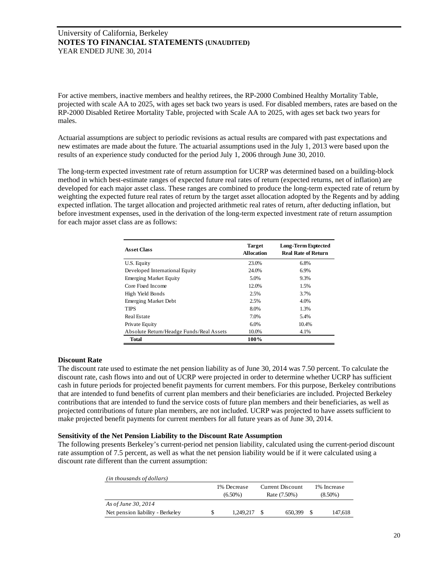For active members, inactive members and healthy retirees, the RP-2000 Combined Healthy Mortality Table, projected with scale AA to 2025, with ages set back two years is used. For disabled members, rates are based on the RP-2000 Disabled Retiree Mortality Table, projected with Scale AA to 2025, with ages set back two years for males.

Actuarial assumptions are subject to periodic revisions as actual results are compared with past expectations and new estimates are made about the future. The actuarial assumptions used in the July 1, 2013 were based upon the results of an experience study conducted for the period July 1, 2006 through June 30, 2010.

The long-term expected investment rate of return assumption for UCRP was determined based on a building-block method in which best-estimate ranges of expected future real rates of return (expected returns, net of inflation) are developed for each major asset class. These ranges are combined to produce the long-term expected rate of return by weighting the expected future real rates of return by the target asset allocation adopted by the Regents and by adding expected inflation. The target allocation and projected arithmetic real rates of return, after deducting inflation, but before investment expenses, used in the derivation of the long-term expected investment rate of return assumption for each major asset class are as follows:

| <b>Asset Class</b>                       | <b>Target</b><br><b>Allocation</b> | <b>Long-Term Exptected</b><br><b>Real Rate of Return</b> |
|------------------------------------------|------------------------------------|----------------------------------------------------------|
| U.S. Equity                              | 23.0%                              | 6.8%                                                     |
| Developed International Equity           | 24.0%                              | 6.9%                                                     |
| <b>Emerging Market Equity</b>            | 5.0%                               | 9.3%                                                     |
| Core Fixed Income                        | 12.0%                              | 1.5%                                                     |
| High Yield Bonds                         | 2.5%                               | 3.7%                                                     |
| <b>Emerging Market Debt</b>              | 2.5%                               | 4.0%                                                     |
| <b>TIPS</b>                              | 8.0%                               | 1.3%                                                     |
| <b>Real Estate</b>                       | 7.0%                               | 5.4%                                                     |
| Private Equity                           | 6.0%                               | 10.4%                                                    |
| Absolute Return/Headge Funds/Real Assets | 10.0%                              | 4.1%                                                     |
| <b>Total</b>                             | 100%                               |                                                          |

## **Discount Rate**

The discount rate used to estimate the net pension liability as of June 30, 2014 was 7.50 percent. To calculate the discount rate, cash flows into and out of UCRP were projected in order to determine whether UCRP has sufficient cash in future periods for projected benefit payments for current members. For this purpose, Berkeley contributions that are intended to fund benefits of current plan members and their beneficiaries are included. Projected Berkeley contributions that are intended to fund the service costs of future plan members and their beneficiaries, as well as projected contributions of future plan members, are not included. UCRP was projected to have assets sufficient to make projected benefit payments for current members for all future years as of June 30, 2014.

## **Sensitivity of the Net Pension Liability to the Discount Rate Assumption**

The following presents Berkeley's current-period net pension liability, calculated using the current-period discount rate assumption of 7.5 percent, as well as what the net pension liability would be if it were calculated using a discount rate different than the current assumption:

| (in thousands of dollars)        |                           |           |                                         |         |                           |         |
|----------------------------------|---------------------------|-----------|-----------------------------------------|---------|---------------------------|---------|
|                                  | 1% Decrease<br>$(6.50\%)$ |           | <b>Current Discount</b><br>Rate (7.50%) |         | 1% Increase<br>$(8.50\%)$ |         |
| As of June 30, 2014              |                           |           |                                         |         |                           |         |
| Net pension liability - Berkeley |                           | 1.249.217 |                                         | 650.399 |                           | 147.618 |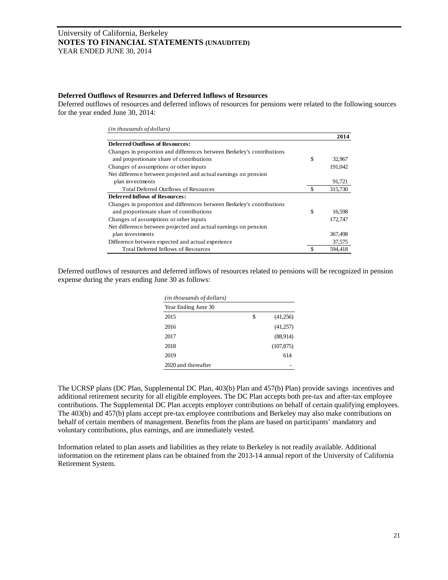#### **Deferred Outflows of Resources and Deferred Inflows of Resources**

Deferred outflows of resources and deferred inflows of resources for pensions were related to the following sources for the year ended June 30, 2014:

| (in thousands of dollars)                                              |              |
|------------------------------------------------------------------------|--------------|
|                                                                        | 2014         |
| <b>Deferred Outflows of Resources:</b>                                 |              |
| Changes in proportion and differences between Berkeley's contributions |              |
| and proportionate share of contributions                               | \$<br>32,967 |
| Changes of assumptions or other inputs                                 | 191,042      |
| Net difference between projected and actual earnings on pension        |              |
| plan investments                                                       | 91,721       |
| <b>Total Deferred Outflows of Resources</b>                            | 315,730      |
| <b>Deferred Inflows of Resources:</b>                                  |              |
| Changes in proportion and differences between Berkeley's contributions |              |
| and proportionate share of contributions                               | \$<br>16,598 |
| Changes of assumptions or other inputs                                 | 172,747      |
| Net difference between projected and actual earnings on pension        |              |
| plan investments                                                       | 367,498      |
| Difference between expected and actual experience                      | 37,575       |
| <b>Total Deferred Inflows of Resources</b>                             | 594.418      |

Deferred outflows of resources and deferred inflows of resources related to pensions will be recognized in pension expense during the years ending June 30 as follows:

| (in thousands of dollars) |    |            |  |  |  |  |
|---------------------------|----|------------|--|--|--|--|
| Year Ending June 30       |    |            |  |  |  |  |
| 2015                      | \$ | (41,256)   |  |  |  |  |
| 2016                      |    | (41,257)   |  |  |  |  |
| 2017                      |    | (88,914)   |  |  |  |  |
| 2018                      |    | (107, 875) |  |  |  |  |
| 2019                      |    | 614        |  |  |  |  |
| 2020 and thereafter       |    |            |  |  |  |  |

The UCRSP plans (DC Plan, Supplemental DC Plan, 403(b) Plan and 457(b) Plan) provide savings incentives and additional retirement security for all eligible employees. The DC Plan accepts both pre-tax and after-tax employee contributions. The Supplemental DC Plan accepts employer contributions on behalf of certain qualifying employees. The 403(b) and 457(b) plans accept pre-tax employee contributions and Berkeley may also make contributions on behalf of certain members of management. Benefits from the plans are based on participants' mandatory and voluntary contributions, plus earnings, and are immediately vested.

Information related to plan assets and liabilities as they relate to Berkeley is not readily available. Additional information on the retirement plans can be obtained from the 2013-14 annual report of the University of California Retirement System.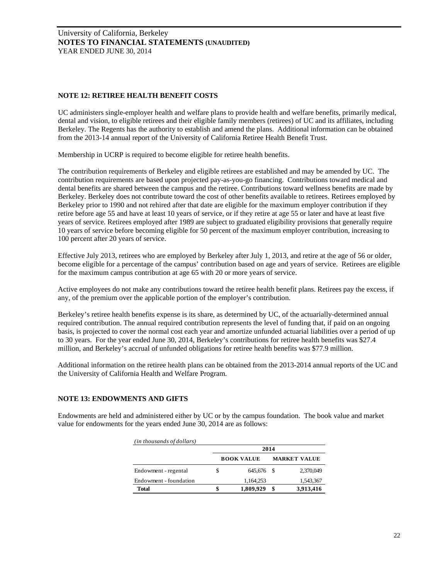# **NOTE 12: RETIREE HEALTH BENEFIT COSTS**

UC administers single-employer health and welfare plans to provide health and welfare benefits, primarily medical, dental and vision, to eligible retirees and their eligible family members (retirees) of UC and its affiliates, including Berkeley. The Regents has the authority to establish and amend the plans. Additional information can be obtained from the 2013-14 annual report of the University of California Retiree Health Benefit Trust.

Membership in UCRP is required to become eligible for retiree health benefits.

The contribution requirements of Berkeley and eligible retirees are established and may be amended by UC. The contribution requirements are based upon projected pay-as-you-go financing. Contributions toward medical and dental benefits are shared between the campus and the retiree. Contributions toward wellness benefits are made by Berkeley. Berkeley does not contribute toward the cost of other benefits available to retirees. Retirees employed by Berkeley prior to 1990 and not rehired after that date are eligible for the maximum employer contribution if they retire before age 55 and have at least 10 years of service, or if they retire at age 55 or later and have at least five years of service. Retirees employed after 1989 are subject to graduated eligibility provisions that generally require 10 years of service before becoming eligible for 50 percent of the maximum employer contribution, increasing to 100 percent after 20 years of service.

Effective July 2013, retirees who are employed by Berkeley after July 1, 2013, and retire at the age of 56 or older, become eligible for a percentage of the campus' contribution based on age and years of service. Retirees are eligible for the maximum campus contribution at age 65 with 20 or more years of service.

Active employees do not make any contributions toward the retiree health benefit plans. Retirees pay the excess, if any, of the premium over the applicable portion of the employer's contribution.

Berkeley's retiree health benefits expense is its share, as determined by UC, of the actuarially-determined annual required contribution. The annual required contribution represents the level of funding that, if paid on an ongoing basis, is projected to cover the normal cost each year and amortize unfunded actuarial liabilities over a period of up to 30 years. For the year ended June 30, 2014, Berkeley's contributions for retiree health benefits was \$27.4 million, and Berkeley's accrual of unfunded obligations for retiree health benefits was \$77.9 million.

Additional information on the retiree health plans can be obtained from the 2013-2014 annual reports of the UC and the University of California Health and Welfare Program.

## **NOTE 13: ENDOWMENTS AND GIFTS**

Endowments are held and administered either by UC or by the campus foundation. The book value and market value for endowments for the years ended June 30, 2014 are as follows:

| (in thousands of dollars) |                           |                     |           |  |
|---------------------------|---------------------------|---------------------|-----------|--|
|                           | 2014<br><b>BOOK VALUE</b> | <b>MARKET VALUE</b> |           |  |
| Endowment - regental      | \$<br>645.676 \$          |                     | 2,370,049 |  |
| Endowment - foundation    | 1,164,253                 |                     | 1,543,367 |  |
| <b>Total</b>              | 1,809,929                 | \$                  | 3,913,416 |  |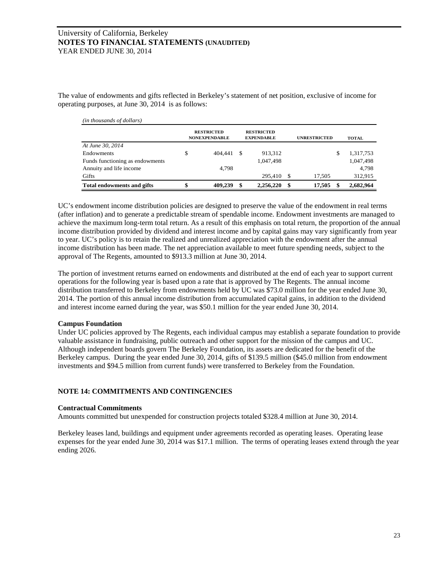The value of endowments and gifts reflected in Berkeley's statement of net position, exclusive of income for operating purposes, at June 30, 2014 is as follows:

| (in thousands of dollars)         |                                           |     |                                        |     |                     |                 |
|-----------------------------------|-------------------------------------------|-----|----------------------------------------|-----|---------------------|-----------------|
|                                   | <b>RESTRICTED</b><br><b>NONEXPENDABLE</b> |     | <b>RESTRICTED</b><br><b>EXPENDABLE</b> |     | <b>UNRESTRICTED</b> | <b>TOTAL</b>    |
| At June 30, 2014                  |                                           |     |                                        |     |                     |                 |
| Endowments                        | \$<br>404,441                             | -\$ | 913,312                                |     |                     | \$<br>1,317,753 |
| Funds functioning as endowments   |                                           |     | 1.047.498                              |     |                     | 1,047,498       |
| Annuity and life income           | 4,798                                     |     |                                        |     |                     | 4.798           |
| Gifts                             |                                           |     | 295.410                                | \$. | 17.505              | 312,915         |
| <b>Total endowments and gifts</b> | \$<br>409.239                             | \$  | 2,256,220                              | \$  | 17.505              | \$<br>2,682,964 |

UC's endowment income distribution policies are designed to preserve the value of the endowment in real terms (after inflation) and to generate a predictable stream of spendable income. Endowment investments are managed to achieve the maximum long-term total return. As a result of this emphasis on total return, the proportion of the annual income distribution provided by dividend and interest income and by capital gains may vary significantly from year to year. UC's policy is to retain the realized and unrealized appreciation with the endowment after the annual income distribution has been made. The net appreciation available to meet future spending needs, subject to the approval of The Regents, amounted to \$913.3 million at June 30, 2014.

The portion of investment returns earned on endowments and distributed at the end of each year to support current operations for the following year is based upon a rate that is approved by The Regents. The annual income distribution transferred to Berkeley from endowments held by UC was \$73.0 million for the year ended June 30, 2014. The portion of this annual income distribution from accumulated capital gains, in addition to the dividend and interest income earned during the year, was \$50.1 million for the year ended June 30, 2014.

# **Campus Foundation**

Under UC policies approved by The Regents, each individual campus may establish a separate foundation to provide valuable assistance in fundraising, public outreach and other support for the mission of the campus and UC. Although independent boards govern The Berkeley Foundation, its assets are dedicated for the benefit of the Berkeley campus. During the year ended June 30, 2014, gifts of \$139.5 million (\$45.0 million from endowment investments and \$94.5 million from current funds) were transferred to Berkeley from the Foundation.

# **NOTE 14: COMMITMENTS AND CONTINGENCIES**

## **Contractual Commitments**

Amounts committed but unexpended for construction projects totaled \$328.4 million at June 30, 2014.

Berkeley leases land, buildings and equipment under agreements recorded as operating leases. Operating lease expenses for the year ended June 30, 2014 was \$17.1 million. The terms of operating leases extend through the year ending 2026.